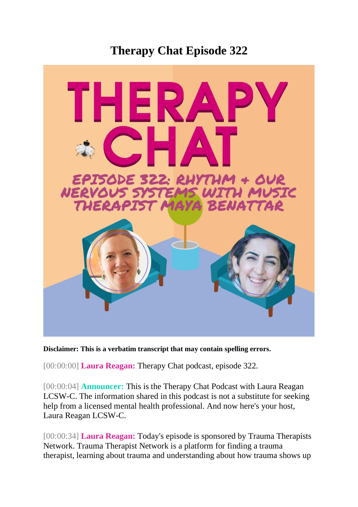## **Therapy Chat Episode 322**



**Disclaimer: This is a verbatim transcript that may contain spelling errors.**

[00:00:00] **Laura Reagan:** Therapy Chat podcast, episode 322.

[00:00:04] **Announcer:** This is the Therapy Chat Podcast with Laura Reagan LCSW-C. The information shared in this podcast is not a substitute for seeking help from a licensed mental health professional. And now here's your host, Laura Reagan LCSW-C.

[00:00:34] **Laura Reagan:** Today's episode is sponsored by Trauma Therapists Network. Trauma Therapist Network is a platform for finding a trauma therapist, learning about trauma and understanding about how trauma shows up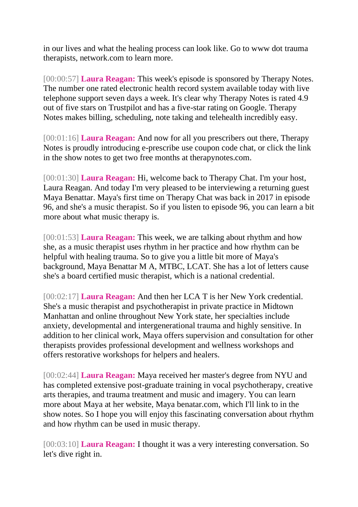in our lives and what the healing process can look like. Go to www dot trauma therapists, network.com to learn more.

[00:00:57] **Laura Reagan:** This week's episode is sponsored by Therapy Notes. The number one rated electronic health record system available today with live telephone support seven days a week. It's clear why Therapy Notes is rated 4.9 out of five stars on Trustpilot and has a five-star rating on Google. Therapy Notes makes billing, scheduling, note taking and telehealth incredibly easy.

[00:01:16] **Laura Reagan:** And now for all you prescribers out there, Therapy Notes is proudly introducing e-prescribe use coupon code chat, or click the link in the show notes to get two free months at therapynotes.com.

[00:01:30] **Laura Reagan:** Hi, welcome back to Therapy Chat. I'm your host, Laura Reagan. And today I'm very pleased to be interviewing a returning guest Maya Benattar. Maya's first time on Therapy Chat was back in 2017 in episode 96, and she's a music therapist. So if you listen to episode 96, you can learn a bit more about what music therapy is.

[00:01:53] **Laura Reagan:** This week, we are talking about rhythm and how she, as a music therapist uses rhythm in her practice and how rhythm can be helpful with healing trauma. So to give you a little bit more of Maya's background, Maya Benattar M A, MTBC, LCAT. She has a lot of letters cause she's a board certified music therapist, which is a national credential.

[00:02:17] **Laura Reagan:** And then her LCA T is her New York credential. She's a music therapist and psychotherapist in private practice in Midtown Manhattan and online throughout New York state, her specialties include anxiety, developmental and intergenerational trauma and highly sensitive. In addition to her clinical work, Maya offers supervision and consultation for other therapists provides professional development and wellness workshops and offers restorative workshops for helpers and healers.

[00:02:44] **Laura Reagan:** Maya received her master's degree from NYU and has completed extensive post-graduate training in vocal psychotherapy, creative arts therapies, and trauma treatment and music and imagery. You can learn more about Maya at her website, Maya benatar.com, which I'll link to in the show notes. So I hope you will enjoy this fascinating conversation about rhythm and how rhythm can be used in music therapy.

[00:03:10] **Laura Reagan:** I thought it was a very interesting conversation. So let's dive right in.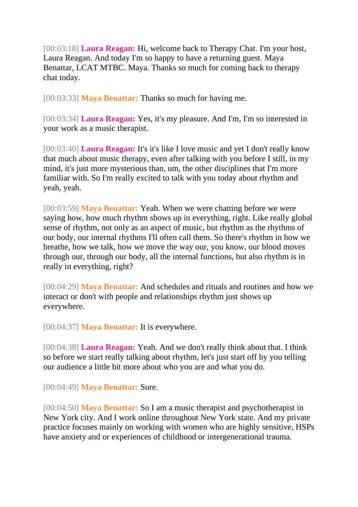[00:03:18] **Laura Reagan:** Hi, welcome back to Therapy Chat. I'm your host, Laura Reagan. And today I'm so happy to have a returning guest. Maya Benattar, LCAT MTBC. Maya. Thanks so much for coming back to therapy chat today.

[00:03:33] **Maya Benattar:** Thanks so much for having me.

[00:03:34] **Laura Reagan:** Yes, it's my pleasure. And I'm, I'm so interested in your work as a music therapist.

[00:03:40] **Laura Reagan:** It's it's like I love music and yet I don't really know that much about music therapy, even after talking with you before I still, in my mind, it's just more mysterious than, um, the other disciplines that I'm more familiar with. So I'm really excited to talk with you today about rhythm and yeah, yeah.

[00:03:59] **Maya Benattar:** Yeah. When we were chatting before we were saying how, how much rhythm shows up in everything, right. Like really global sense of rhythm, not only as an aspect of music, but rhythm as the rhythms of our body, our internal rhythms I'll often call them. So there's rhythm in how we breathe, how we talk, how we move the way our, you know, our blood moves through our, through our body, all the internal functions, but also rhythm is in really in everything, right?

[00:04:29] **Maya Benattar:** And schedules and rituals and routines and how we interact or don't with people and relationships rhythm just shows up everywhere.

[00:04:37] **Maya Benattar:** It is everywhere.

[00:04:38] **Laura Reagan:** Yeah. And we don't really think about that. I think so before we start really talking about rhythm, let's just start off by you telling our audience a little bit more about who you are and what you do.

[00:04:49] **Maya Benattar:** Sure.

[00:04:50] **Maya Benattar:** So I am a music therapist and psychotherapist in New York city. And I work online throughout New York state. And my private practice focuses mainly on working with women who are highly sensitive, HSPs have anxiety and or experiences of childhood or intergenerational trauma.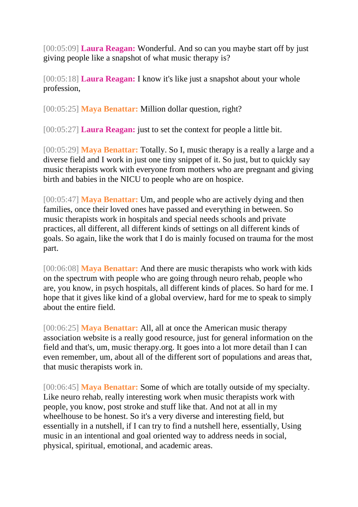[00:05:09] **Laura Reagan:** Wonderful. And so can you maybe start off by just giving people like a snapshot of what music therapy is?

[00:05:18] **Laura Reagan:** I know it's like just a snapshot about your whole profession,

[00:05:25] **Maya Benattar:** Million dollar question, right?

[00:05:27] **Laura Reagan:** just to set the context for people a little bit.

[00:05:29] **Maya Benattar:** Totally. So I, music therapy is a really a large and a diverse field and I work in just one tiny snippet of it. So just, but to quickly say music therapists work with everyone from mothers who are pregnant and giving birth and babies in the NICU to people who are on hospice.

[00:05:47] **Maya Benattar:** Um, and people who are actively dying and then families, once their loved ones have passed and everything in between. So music therapists work in hospitals and special needs schools and private practices, all different, all different kinds of settings on all different kinds of goals. So again, like the work that I do is mainly focused on trauma for the most part.

[00:06:08] **Maya Benattar:** And there are music therapists who work with kids on the spectrum with people who are going through neuro rehab, people who are, you know, in psych hospitals, all different kinds of places. So hard for me. I hope that it gives like kind of a global overview, hard for me to speak to simply about the entire field.

[00:06:25] **Maya Benattar:** All, all at once the American music therapy association website is a really good resource, just for general information on the field and that's, um, music therapy.org. It goes into a lot more detail than I can even remember, um, about all of the different sort of populations and areas that, that music therapists work in.

[00:06:45] **Maya Benattar:** Some of which are totally outside of my specialty. Like neuro rehab, really interesting work when music therapists work with people, you know, post stroke and stuff like that. And not at all in my wheelhouse to be honest. So it's a very diverse and interesting field, but essentially in a nutshell, if I can try to find a nutshell here, essentially, Using music in an intentional and goal oriented way to address needs in social, physical, spiritual, emotional, and academic areas.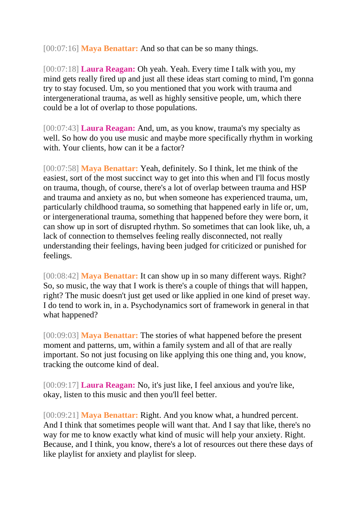[00:07:16] **Maya Benattar:** And so that can be so many things.

[00:07:18] **Laura Reagan:** Oh yeah. Yeah. Every time I talk with you, my mind gets really fired up and just all these ideas start coming to mind, I'm gonna try to stay focused. Um, so you mentioned that you work with trauma and intergenerational trauma, as well as highly sensitive people, um, which there could be a lot of overlap to those populations.

[00:07:43] **Laura Reagan:** And, um, as you know, trauma's my specialty as well. So how do you use music and maybe more specifically rhythm in working with. Your clients, how can it be a factor?

[00:07:58] **Maya Benattar:** Yeah, definitely. So I think, let me think of the easiest, sort of the most succinct way to get into this when and I'll focus mostly on trauma, though, of course, there's a lot of overlap between trauma and HSP and trauma and anxiety as no, but when someone has experienced trauma, um, particularly childhood trauma, so something that happened early in life or, um, or intergenerational trauma, something that happened before they were born, it can show up in sort of disrupted rhythm. So sometimes that can look like, uh, a lack of connection to themselves feeling really disconnected, not really understanding their feelings, having been judged for criticized or punished for feelings.

[00:08:42] **Maya Benattar:** It can show up in so many different ways. Right? So, so music, the way that I work is there's a couple of things that will happen, right? The music doesn't just get used or like applied in one kind of preset way. I do tend to work in, in a. Psychodynamics sort of framework in general in that what happened?

[00:09:03] **Maya Benattar:** The stories of what happened before the present moment and patterns, um, within a family system and all of that are really important. So not just focusing on like applying this one thing and, you know, tracking the outcome kind of deal.

[00:09:17] **Laura Reagan:** No, it's just like, I feel anxious and you're like, okay, listen to this music and then you'll feel better.

[00:09:21] **Maya Benattar:** Right. And you know what, a hundred percent. And I think that sometimes people will want that. And I say that like, there's no way for me to know exactly what kind of music will help your anxiety. Right. Because, and I think, you know, there's a lot of resources out there these days of like playlist for anxiety and playlist for sleep.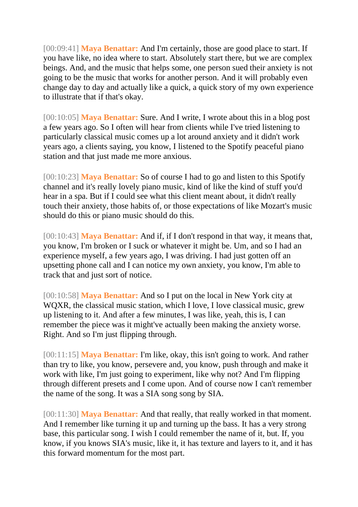[00:09:41] **Maya Benattar:** And I'm certainly, those are good place to start. If you have like, no idea where to start. Absolutely start there, but we are complex beings. And, and the music that helps some, one person sued their anxiety is not going to be the music that works for another person. And it will probably even change day to day and actually like a quick, a quick story of my own experience to illustrate that if that's okay.

[00:10:05] **Maya Benattar:** Sure. And I write, I wrote about this in a blog post a few years ago. So I often will hear from clients while I've tried listening to particularly classical music comes up a lot around anxiety and it didn't work years ago, a clients saying, you know, I listened to the Spotify peaceful piano station and that just made me more anxious.

[00:10:23] **Maya Benattar:** So of course I had to go and listen to this Spotify channel and it's really lovely piano music, kind of like the kind of stuff you'd hear in a spa. But if I could see what this client meant about, it didn't really touch their anxiety, those habits of, or those expectations of like Mozart's music should do this or piano music should do this.

[00:10:43] **Maya Benattar:** And if, if I don't respond in that way, it means that, you know, I'm broken or I suck or whatever it might be. Um, and so I had an experience myself, a few years ago, I was driving. I had just gotten off an upsetting phone call and I can notice my own anxiety, you know, I'm able to track that and just sort of notice.

[00:10:58] **Maya Benattar:** And so I put on the local in New York city at WQXR, the classical music station, which I love, I love classical music, grew up listening to it. And after a few minutes, I was like, yeah, this is, I can remember the piece was it might've actually been making the anxiety worse. Right. And so I'm just flipping through.

[00:11:15] **Maya Benattar:** I'm like, okay, this isn't going to work. And rather than try to like, you know, persevere and, you know, push through and make it work with like, I'm just going to experiment, like why not? And I'm flipping through different presets and I come upon. And of course now I can't remember the name of the song. It was a SIA song song by SIA.

[00:11:30] **Maya Benattar:** And that really, that really worked in that moment. And I remember like turning it up and turning up the bass. It has a very strong base, this particular song. I wish I could remember the name of it, but. If, you know, if you knows SIA's music, like it, it has texture and layers to it, and it has this forward momentum for the most part.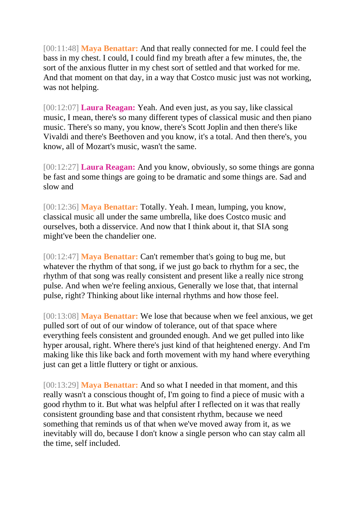[00:11:48] **Maya Benattar:** And that really connected for me. I could feel the bass in my chest. I could, I could find my breath after a few minutes, the, the sort of the anxious flutter in my chest sort of settled and that worked for me. And that moment on that day, in a way that Costco music just was not working, was not helping.

[00:12:07] **Laura Reagan:** Yeah. And even just, as you say, like classical music, I mean, there's so many different types of classical music and then piano music. There's so many, you know, there's Scott Joplin and then there's like Vivaldi and there's Beethoven and you know, it's a total. And then there's, you know, all of Mozart's music, wasn't the same.

[00:12:27] **Laura Reagan:** And you know, obviously, so some things are gonna be fast and some things are going to be dramatic and some things are. Sad and slow and

[00:12:36] **Maya Benattar:** Totally. Yeah. I mean, lumping, you know, classical music all under the same umbrella, like does Costco music and ourselves, both a disservice. And now that I think about it, that SIA song might've been the chandelier one.

[00:12:47] **Maya Benattar:** Can't remember that's going to bug me, but whatever the rhythm of that song, if we just go back to rhythm for a sec, the rhythm of that song was really consistent and present like a really nice strong pulse. And when we're feeling anxious, Generally we lose that, that internal pulse, right? Thinking about like internal rhythms and how those feel.

[00:13:08] **Maya Benattar:** We lose that because when we feel anxious, we get pulled sort of out of our window of tolerance, out of that space where everything feels consistent and grounded enough. And we get pulled into like hyper arousal, right. Where there's just kind of that heightened energy. And I'm making like this like back and forth movement with my hand where everything just can get a little fluttery or tight or anxious.

[00:13:29] **Maya Benattar:** And so what I needed in that moment, and this really wasn't a conscious thought of, I'm going to find a piece of music with a good rhythm to it. But what was helpful after I reflected on it was that really consistent grounding base and that consistent rhythm, because we need something that reminds us of that when we've moved away from it, as we inevitably will do, because I don't know a single person who can stay calm all the time, self included.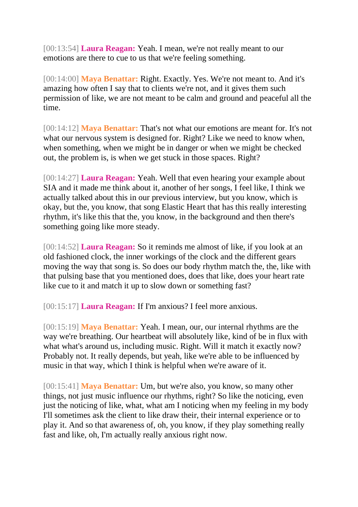[00:13:54] **Laura Reagan:** Yeah. I mean, we're not really meant to our emotions are there to cue to us that we're feeling something.

[00:14:00] **Maya Benattar:** Right. Exactly. Yes. We're not meant to. And it's amazing how often I say that to clients we're not, and it gives them such permission of like, we are not meant to be calm and ground and peaceful all the time.

[00:14:12] **Maya Benattar:** That's not what our emotions are meant for. It's not what our nervous system is designed for. Right? Like we need to know when, when something, when we might be in danger or when we might be checked out, the problem is, is when we get stuck in those spaces. Right?

[00:14:27] **Laura Reagan:** Yeah. Well that even hearing your example about SIA and it made me think about it, another of her songs, I feel like, I think we actually talked about this in our previous interview, but you know, which is okay, but the, you know, that song Elastic Heart that has this really interesting rhythm, it's like this that the, you know, in the background and then there's something going like more steady.

[00:14:52] **Laura Reagan:** So it reminds me almost of like, if you look at an old fashioned clock, the inner workings of the clock and the different gears moving the way that song is. So does our body rhythm match the, the, like with that pulsing base that you mentioned does, does that like, does your heart rate like cue to it and match it up to slow down or something fast?

[00:15:17] **Laura Reagan:** If I'm anxious? I feel more anxious.

[00:15:19] **Maya Benattar:** Yeah. I mean, our, our internal rhythms are the way we're breathing. Our heartbeat will absolutely like, kind of be in flux with what what's around us, including music. Right. Will it match it exactly now? Probably not. It really depends, but yeah, like we're able to be influenced by music in that way, which I think is helpful when we're aware of it.

[00:15:41] **Maya Benattar:** Um, but we're also, you know, so many other things, not just music influence our rhythms, right? So like the noticing, even just the noticing of like, what, what am I noticing when my feeling in my body I'll sometimes ask the client to like draw their, their internal experience or to play it. And so that awareness of, oh, you know, if they play something really fast and like, oh, I'm actually really anxious right now.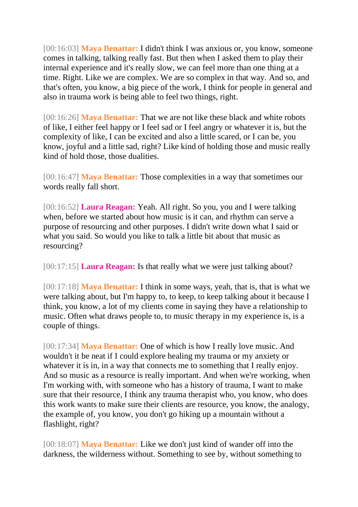[00:16:03] **Maya Benattar:** I didn't think I was anxious or, you know, someone comes in talking, talking really fast. But then when I asked them to play their internal experience and it's really slow, we can feel more than one thing at a time. Right. Like we are complex. We are so complex in that way. And so, and that's often, you know, a big piece of the work, I think for people in general and also in trauma work is being able to feel two things, right.

[00:16:26] **Maya Benattar:** That we are not like these black and white robots of like, I either feel happy or I feel sad or I feel angry or whatever it is, but the complexity of like, I can be excited and also a little scared, or I can be, you know, joyful and a little sad, right? Like kind of holding those and music really kind of hold those, those dualities.

[00:16:47] **Maya Benattar:** Those complexities in a way that sometimes our words really fall short.

[00:16:52] **Laura Reagan:** Yeah. All right. So you, you and I were talking when, before we started about how music is it can, and rhythm can serve a purpose of resourcing and other purposes. I didn't write down what I said or what you said. So would you like to talk a little bit about that music as resourcing?

[00:17:15] **Laura Reagan:** Is that really what we were just talking about?

[00:17:18] **Maya Benattar:** I think in some ways, yeah, that is, that is what we were talking about, but I'm happy to, to keep, to keep talking about it because I think, you know, a lot of my clients come in saying they have a relationship to music. Often what draws people to, to music therapy in my experience is, is a couple of things.

[00:17:34] **Maya Benattar:** One of which is how I really love music. And wouldn't it be neat if I could explore healing my trauma or my anxiety or whatever it is in, in a way that connects me to something that I really enjoy. And so music as a resource is really important. And when we're working, when I'm working with, with someone who has a history of trauma, I want to make sure that their resource, I think any trauma therapist who, you know, who does this work wants to make sure their clients are resource, you know, the analogy, the example of, you know, you don't go hiking up a mountain without a flashlight, right?

[00:18:07] **Maya Benattar:** Like we don't just kind of wander off into the darkness, the wilderness without. Something to see by, without something to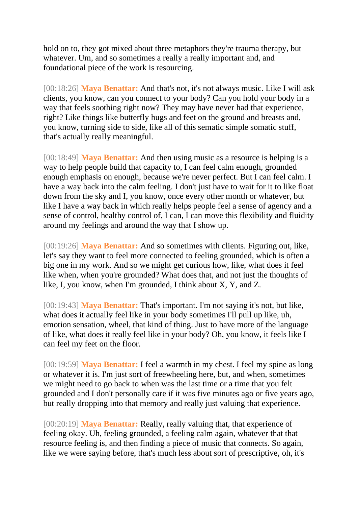hold on to, they got mixed about three metaphors they're trauma therapy, but whatever. Um, and so sometimes a really a really important and, and foundational piece of the work is resourcing.

[00:18:26] **Maya Benattar:** And that's not, it's not always music. Like I will ask clients, you know, can you connect to your body? Can you hold your body in a way that feels soothing right now? They may have never had that experience, right? Like things like butterfly hugs and feet on the ground and breasts and, you know, turning side to side, like all of this sematic simple somatic stuff, that's actually really meaningful.

[00:18:49] **Maya Benattar:** And then using music as a resource is helping is a way to help people build that capacity to, I can feel calm enough, grounded enough emphasis on enough, because we're never perfect. But I can feel calm. I have a way back into the calm feeling. I don't just have to wait for it to like float down from the sky and I, you know, once every other month or whatever, but like I have a way back in which really helps people feel a sense of agency and a sense of control, healthy control of, I can, I can move this flexibility and fluidity around my feelings and around the way that I show up.

[00:19:26] **Maya Benattar:** And so sometimes with clients. Figuring out, like, let's say they want to feel more connected to feeling grounded, which is often a big one in my work. And so we might get curious how, like, what does it feel like when, when you're grounded? What does that, and not just the thoughts of like, I, you know, when I'm grounded, I think about X, Y, and Z.

[00:19:43] **Maya Benattar:** That's important. I'm not saying it's not, but like, what does it actually feel like in your body sometimes I'll pull up like, uh, emotion sensation, wheel, that kind of thing. Just to have more of the language of like, what does it really feel like in your body? Oh, you know, it feels like I can feel my feet on the floor.

[00:19:59] **Maya Benattar:** I feel a warmth in my chest. I feel my spine as long or whatever it is. I'm just sort of freewheeling here, but, and when, sometimes we might need to go back to when was the last time or a time that you felt grounded and I don't personally care if it was five minutes ago or five years ago, but really dropping into that memory and really just valuing that experience.

[00:20:19] **Maya Benattar:** Really, really valuing that, that experience of feeling okay. Uh, feeling grounded, a feeling calm again, whatever that that resource feeling is, and then finding a piece of music that connects. So again, like we were saying before, that's much less about sort of prescriptive, oh, it's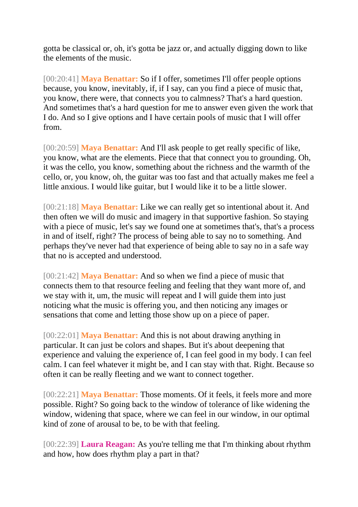gotta be classical or, oh, it's gotta be jazz or, and actually digging down to like the elements of the music.

[00:20:41] **Maya Benattar:** So if I offer, sometimes I'll offer people options because, you know, inevitably, if, if I say, can you find a piece of music that, you know, there were, that connects you to calmness? That's a hard question. And sometimes that's a hard question for me to answer even given the work that I do. And so I give options and I have certain pools of music that I will offer from.

[00:20:59] **Maya Benattar:** And I'll ask people to get really specific of like, you know, what are the elements. Piece that that connect you to grounding. Oh, it was the cello, you know, something about the richness and the warmth of the cello, or, you know, oh, the guitar was too fast and that actually makes me feel a little anxious. I would like guitar, but I would like it to be a little slower.

[00:21:18] **Maya Benattar:** Like we can really get so intentional about it. And then often we will do music and imagery in that supportive fashion. So staying with a piece of music, let's say we found one at sometimes that's, that's a process in and of itself, right? The process of being able to say no to something. And perhaps they've never had that experience of being able to say no in a safe way that no is accepted and understood.

[00:21:42] **Maya Benattar:** And so when we find a piece of music that connects them to that resource feeling and feeling that they want more of, and we stay with it, um, the music will repeat and I will guide them into just noticing what the music is offering you, and then noticing any images or sensations that come and letting those show up on a piece of paper.

[00:22:01] **Maya Benattar:** And this is not about drawing anything in particular. It can just be colors and shapes. But it's about deepening that experience and valuing the experience of, I can feel good in my body. I can feel calm. I can feel whatever it might be, and I can stay with that. Right. Because so often it can be really fleeting and we want to connect together.

[00:22:21] **Maya Benattar:** Those moments. Of it feels, it feels more and more possible. Right? So going back to the window of tolerance of like widening the window, widening that space, where we can feel in our window, in our optimal kind of zone of arousal to be, to be with that feeling.

[00:22:39] **Laura Reagan:** As you're telling me that I'm thinking about rhythm and how, how does rhythm play a part in that?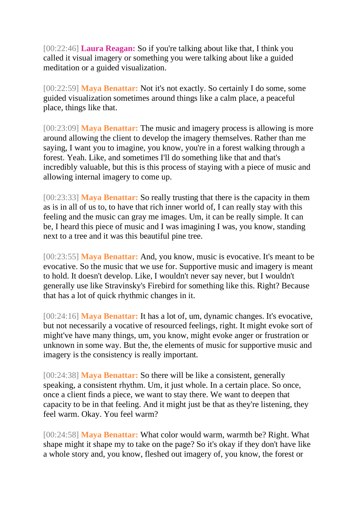[00:22:46] **Laura Reagan:** So if you're talking about like that, I think you called it visual imagery or something you were talking about like a guided meditation or a guided visualization.

[00:22:59] **Maya Benattar:** Not it's not exactly. So certainly I do some, some guided visualization sometimes around things like a calm place, a peaceful place, things like that.

[00:23:09] **Maya Benattar:** The music and imagery process is allowing is more around allowing the client to develop the imagery themselves. Rather than me saying, I want you to imagine, you know, you're in a forest walking through a forest. Yeah. Like, and sometimes I'll do something like that and that's incredibly valuable, but this is this process of staying with a piece of music and allowing internal imagery to come up.

[00:23:33] **Maya Benattar:** So really trusting that there is the capacity in them as is in all of us to, to have that rich inner world of, I can really stay with this feeling and the music can gray me images. Um, it can be really simple. It can be, I heard this piece of music and I was imagining I was, you know, standing next to a tree and it was this beautiful pine tree.

[00:23:55] **Maya Benattar:** And, you know, music is evocative. It's meant to be evocative. So the music that we use for. Supportive music and imagery is meant to hold. It doesn't develop. Like, I wouldn't never say never, but I wouldn't generally use like Stravinsky's Firebird for something like this. Right? Because that has a lot of quick rhythmic changes in it.

[00:24:16] **Maya Benattar:** It has a lot of, um, dynamic changes. It's evocative, but not necessarily a vocative of resourced feelings, right. It might evoke sort of might've have many things, um, you know, might evoke anger or frustration or unknown in some way. But the, the elements of music for supportive music and imagery is the consistency is really important.

[00:24:38] **Maya Benattar:** So there will be like a consistent, generally speaking, a consistent rhythm. Um, it just whole. In a certain place. So once, once a client finds a piece, we want to stay there. We want to deepen that capacity to be in that feeling. And it might just be that as they're listening, they feel warm. Okay. You feel warm?

[00:24:58] **Maya Benattar:** What color would warm, warmth be? Right. What shape might it shape my to take on the page? So it's okay if they don't have like a whole story and, you know, fleshed out imagery of, you know, the forest or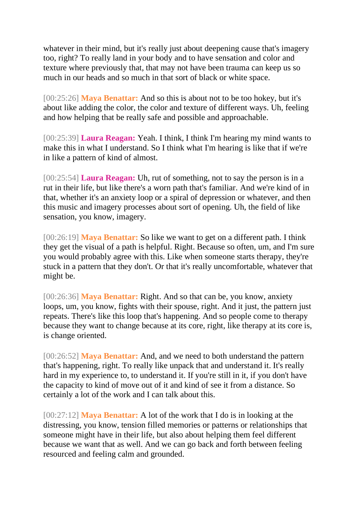whatever in their mind, but it's really just about deepening cause that's imagery too, right? To really land in your body and to have sensation and color and texture where previously that, that may not have been trauma can keep us so much in our heads and so much in that sort of black or white space.

[00:25:26] **Maya Benattar:** And so this is about not to be too hokey, but it's about like adding the color, the color and texture of different ways. Uh, feeling and how helping that be really safe and possible and approachable.

[00:25:39] **Laura Reagan:** Yeah. I think, I think I'm hearing my mind wants to make this in what I understand. So I think what I'm hearing is like that if we're in like a pattern of kind of almost.

[00:25:54] **Laura Reagan:** Uh, rut of something, not to say the person is in a rut in their life, but like there's a worn path that's familiar. And we're kind of in that, whether it's an anxiety loop or a spiral of depression or whatever, and then this music and imagery processes about sort of opening. Uh, the field of like sensation, you know, imagery.

[00:26:19] **Maya Benattar:** So like we want to get on a different path. I think they get the visual of a path is helpful. Right. Because so often, um, and I'm sure you would probably agree with this. Like when someone starts therapy, they're stuck in a pattern that they don't. Or that it's really uncomfortable, whatever that might be.

[00:26:36] **Maya Benattar:** Right. And so that can be, you know, anxiety loops, um, you know, fights with their spouse, right. And it just, the pattern just repeats. There's like this loop that's happening. And so people come to therapy because they want to change because at its core, right, like therapy at its core is, is change oriented.

[00:26:52] **Maya Benattar:** And, and we need to both understand the pattern that's happening, right. To really like unpack that and understand it. It's really hard in my experience to, to understand it. If you're still in it, if you don't have the capacity to kind of move out of it and kind of see it from a distance. So certainly a lot of the work and I can talk about this.

[00:27:12] **Maya Benattar:** A lot of the work that I do is in looking at the distressing, you know, tension filled memories or patterns or relationships that someone might have in their life, but also about helping them feel different because we want that as well. And we can go back and forth between feeling resourced and feeling calm and grounded.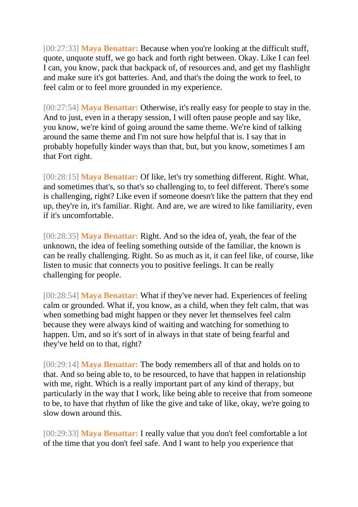[00:27:33] **Maya Benattar:** Because when you're looking at the difficult stuff, quote, unquote stuff, we go back and forth right between. Okay. Like I can feel I can, you know, pack that backpack of, of resources and, and get my flashlight and make sure it's got batteries. And, and that's the doing the work to feel, to feel calm or to feel more grounded in my experience.

[00:27:54] **Maya Benattar:** Otherwise, it's really easy for people to stay in the. And to just, even in a therapy session, I will often pause people and say like, you know, we're kind of going around the same theme. We're kind of talking around the same theme and I'm not sure how helpful that is. I say that in probably hopefully kinder ways than that, but, but you know, sometimes I am that Fort right.

[00:28:15] **Maya Benattar:** Of like, let's try something different. Right. What, and sometimes that's, so that's so challenging to, to feel different. There's some is challenging, right? Like even if someone doesn't like the pattern that they end up, they're in, it's familiar. Right. And are, we are wired to like familiarity, even if it's uncomfortable.

[00:28:35] **Maya Benattar:** Right. And so the idea of, yeah, the fear of the unknown, the idea of feeling something outside of the familiar, the known is can be really challenging. Right. So as much as it, it can feel like, of course, like listen to music that connects you to positive feelings. It can be really challenging for people.

[00:28:54] **Maya Benattar:** What if they've never had. Experiences of feeling calm or grounded. What if, you know, as a child, when they felt calm, that was when something bad might happen or they never let themselves feel calm because they were always kind of waiting and watching for something to happen. Um, and so it's sort of in always in that state of being fearful and they've held on to that, right?

[00:29:14] **Maya Benattar:** The body remembers all of that and holds on to that. And so being able to, to be resourced, to have that happen in relationship with me, right. Which is a really important part of any kind of therapy, but particularly in the way that I work, like being able to receive that from someone to be, to have that rhythm of like the give and take of like, okay, we're going to slow down around this.

[00:29:33] **Maya Benattar:** I really value that you don't feel comfortable a lot of the time that you don't feel safe. And I want to help you experience that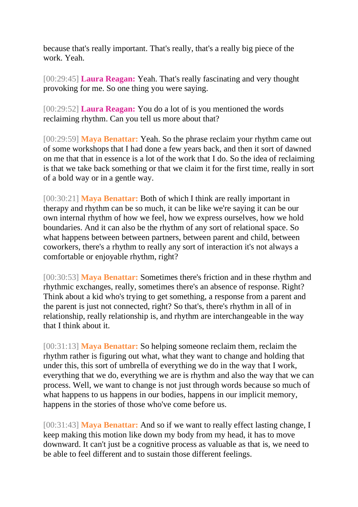because that's really important. That's really, that's a really big piece of the work. Yeah.

[00:29:45] **Laura Reagan:** Yeah. That's really fascinating and very thought provoking for me. So one thing you were saying.

[00:29:52] **Laura Reagan:** You do a lot of is you mentioned the words reclaiming rhythm. Can you tell us more about that?

[00:29:59] **Maya Benattar:** Yeah. So the phrase reclaim your rhythm came out of some workshops that I had done a few years back, and then it sort of dawned on me that that in essence is a lot of the work that I do. So the idea of reclaiming is that we take back something or that we claim it for the first time, really in sort of a bold way or in a gentle way.

[00:30:21] **Maya Benattar:** Both of which I think are really important in therapy and rhythm can be so much, it can be like we're saying it can be our own internal rhythm of how we feel, how we express ourselves, how we hold boundaries. And it can also be the rhythm of any sort of relational space. So what happens between between partners, between parent and child, between coworkers, there's a rhythm to really any sort of interaction it's not always a comfortable or enjoyable rhythm, right?

[00:30:53] **Maya Benattar:** Sometimes there's friction and in these rhythm and rhythmic exchanges, really, sometimes there's an absence of response. Right? Think about a kid who's trying to get something, a response from a parent and the parent is just not connected, right? So that's, there's rhythm in all of in relationship, really relationship is, and rhythm are interchangeable in the way that I think about it.

[00:31:13] **Maya Benattar:** So helping someone reclaim them, reclaim the rhythm rather is figuring out what, what they want to change and holding that under this, this sort of umbrella of everything we do in the way that I work, everything that we do, everything we are is rhythm and also the way that we can process. Well, we want to change is not just through words because so much of what happens to us happens in our bodies, happens in our implicit memory, happens in the stories of those who've come before us.

[00:31:43] **Maya Benattar:** And so if we want to really effect lasting change, I keep making this motion like down my body from my head, it has to move downward. It can't just be a cognitive process as valuable as that is, we need to be able to feel different and to sustain those different feelings.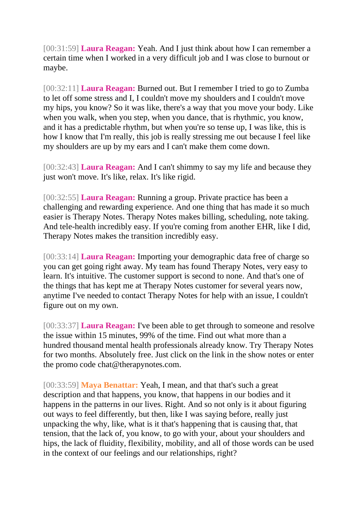[00:31:59] **Laura Reagan:** Yeah. And I just think about how I can remember a certain time when I worked in a very difficult job and I was close to burnout or maybe.

[00:32:11] **Laura Reagan:** Burned out. But I remember I tried to go to Zumba to let off some stress and I, I couldn't move my shoulders and I couldn't move my hips, you know? So it was like, there's a way that you move your body. Like when you walk, when you step, when you dance, that is rhythmic, you know, and it has a predictable rhythm, but when you're so tense up, I was like, this is how I know that I'm really, this job is really stressing me out because I feel like my shoulders are up by my ears and I can't make them come down.

[00:32:43] **Laura Reagan:** And I can't shimmy to say my life and because they just won't move. It's like, relax. It's like rigid.

[00:32:55] **Laura Reagan:** Running a group. Private practice has been a challenging and rewarding experience. And one thing that has made it so much easier is Therapy Notes. Therapy Notes makes billing, scheduling, note taking. And tele-health incredibly easy. If you're coming from another EHR, like I did, Therapy Notes makes the transition incredibly easy.

[00:33:14] **Laura Reagan:** Importing your demographic data free of charge so you can get going right away. My team has found Therapy Notes, very easy to learn. It's intuitive. The customer support is second to none. And that's one of the things that has kept me at Therapy Notes customer for several years now, anytime I've needed to contact Therapy Notes for help with an issue, I couldn't figure out on my own.

[00:33:37] **Laura Reagan:** I've been able to get through to someone and resolve the issue within 15 minutes, 99% of the time. Find out what more than a hundred thousand mental health professionals already know. Try Therapy Notes for two months. Absolutely free. Just click on the link in the show notes or enter the promo code chat@therapynotes.com.

[00:33:59] **Maya Benattar:** Yeah, I mean, and that that's such a great description and that happens, you know, that happens in our bodies and it happens in the patterns in our lives. Right. And so not only is it about figuring out ways to feel differently, but then, like I was saying before, really just unpacking the why, like, what is it that's happening that is causing that, that tension, that the lack of, you know, to go with your, about your shoulders and hips, the lack of fluidity, flexibility, mobility, and all of those words can be used in the context of our feelings and our relationships, right?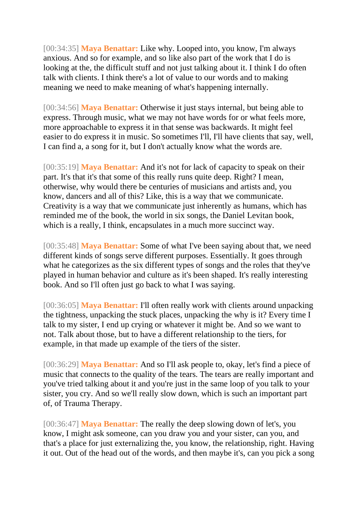[00:34:35] **Maya Benattar:** Like why. Looped into, you know, I'm always anxious. And so for example, and so like also part of the work that I do is looking at the, the difficult stuff and not just talking about it. I think I do often talk with clients. I think there's a lot of value to our words and to making meaning we need to make meaning of what's happening internally.

[00:34:56] **Maya Benattar:** Otherwise it just stays internal, but being able to express. Through music, what we may not have words for or what feels more, more approachable to express it in that sense was backwards. It might feel easier to do express it in music. So sometimes I'll, I'll have clients that say, well, I can find a, a song for it, but I don't actually know what the words are.

[00:35:19] **Maya Benattar:** And it's not for lack of capacity to speak on their part. It's that it's that some of this really runs quite deep. Right? I mean, otherwise, why would there be centuries of musicians and artists and, you know, dancers and all of this? Like, this is a way that we communicate. Creativity is a way that we communicate just inherently as humans, which has reminded me of the book, the world in six songs, the Daniel Levitan book, which is a really, I think, encapsulates in a much more succinct way.

[00:35:48] **Maya Benattar:** Some of what I've been saying about that, we need different kinds of songs serve different purposes. Essentially. It goes through what he categorizes as the six different types of songs and the roles that they've played in human behavior and culture as it's been shaped. It's really interesting book. And so I'll often just go back to what I was saying.

[00:36:05] **Maya Benattar:** I'll often really work with clients around unpacking the tightness, unpacking the stuck places, unpacking the why is it? Every time I talk to my sister, I end up crying or whatever it might be. And so we want to not. Talk about those, but to have a different relationship to the tiers, for example, in that made up example of the tiers of the sister.

[00:36:29] **Maya Benattar:** And so I'll ask people to, okay, let's find a piece of music that connects to the quality of the tears. The tears are really important and you've tried talking about it and you're just in the same loop of you talk to your sister, you cry. And so we'll really slow down, which is such an important part of, of Trauma Therapy.

[00:36:47] **Maya Benattar:** The really the deep slowing down of let's, you know, I might ask someone, can you draw you and your sister, can you, and that's a place for just externalizing the, you know, the relationship, right. Having it out. Out of the head out of the words, and then maybe it's, can you pick a song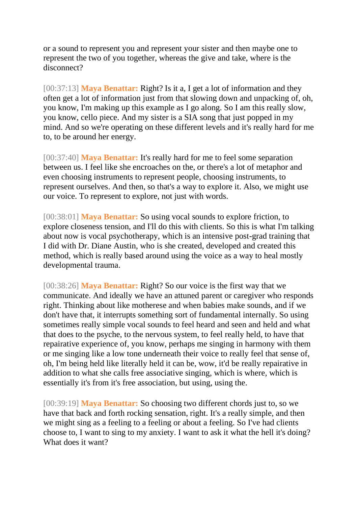or a sound to represent you and represent your sister and then maybe one to represent the two of you together, whereas the give and take, where is the disconnect?

[00:37:13] **Maya Benattar:** Right? Is it a, I get a lot of information and they often get a lot of information just from that slowing down and unpacking of, oh, you know, I'm making up this example as I go along. So I am this really slow, you know, cello piece. And my sister is a SIA song that just popped in my mind. And so we're operating on these different levels and it's really hard for me to, to be around her energy.

[00:37:40] **Maya Benattar:** It's really hard for me to feel some separation between us. I feel like she encroaches on the, or there's a lot of metaphor and even choosing instruments to represent people, choosing instruments, to represent ourselves. And then, so that's a way to explore it. Also, we might use our voice. To represent to explore, not just with words.

[00:38:01] **Maya Benattar:** So using vocal sounds to explore friction, to explore closeness tension, and I'll do this with clients. So this is what I'm talking about now is vocal psychotherapy, which is an intensive post-grad training that I did with Dr. Diane Austin, who is she created, developed and created this method, which is really based around using the voice as a way to heal mostly developmental trauma.

[00:38:26] **Maya Benattar:** Right? So our voice is the first way that we communicate. And ideally we have an attuned parent or caregiver who responds right. Thinking about like motherese and when babies make sounds, and if we don't have that, it interrupts something sort of fundamental internally. So using sometimes really simple vocal sounds to feel heard and seen and held and what that does to the psyche, to the nervous system, to feel really held, to have that repairative experience of, you know, perhaps me singing in harmony with them or me singing like a low tone underneath their voice to really feel that sense of, oh, I'm being held like literally held it can be, wow, it'd be really repairative in addition to what she calls free associative singing, which is where, which is essentially it's from it's free association, but using, using the.

[00:39:19] **Maya Benattar:** So choosing two different chords just to, so we have that back and forth rocking sensation, right. It's a really simple, and then we might sing as a feeling to a feeling or about a feeling. So I've had clients choose to, I want to sing to my anxiety. I want to ask it what the hell it's doing? What does it want?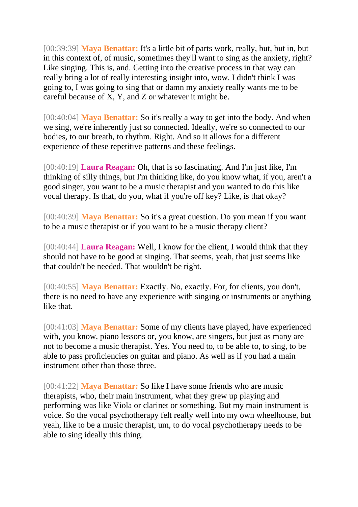[00:39:39] **Maya Benattar:** It's a little bit of parts work, really, but, but in, but in this context of, of music, sometimes they'll want to sing as the anxiety, right? Like singing. This is, and. Getting into the creative process in that way can really bring a lot of really interesting insight into, wow. I didn't think I was going to, I was going to sing that or damn my anxiety really wants me to be careful because of X, Y, and Z or whatever it might be.

[00:40:04] **Maya Benattar:** So it's really a way to get into the body. And when we sing, we're inherently just so connected. Ideally, we're so connected to our bodies, to our breath, to rhythm. Right. And so it allows for a different experience of these repetitive patterns and these feelings.

[00:40:19] **Laura Reagan:** Oh, that is so fascinating. And I'm just like, I'm thinking of silly things, but I'm thinking like, do you know what, if you, aren't a good singer, you want to be a music therapist and you wanted to do this like vocal therapy. Is that, do you, what if you're off key? Like, is that okay?

[00:40:39] **Maya Benattar:** So it's a great question. Do you mean if you want to be a music therapist or if you want to be a music therapy client?

[00:40:44] **Laura Reagan:** Well, I know for the client, I would think that they should not have to be good at singing. That seems, yeah, that just seems like that couldn't be needed. That wouldn't be right.

[00:40:55] **Maya Benattar:** Exactly. No, exactly. For, for clients, you don't, there is no need to have any experience with singing or instruments or anything like that.

[00:41:03] **Maya Benattar:** Some of my clients have played, have experienced with, you know, piano lessons or, you know, are singers, but just as many are not to become a music therapist. Yes. You need to, to be able to, to sing, to be able to pass proficiencies on guitar and piano. As well as if you had a main instrument other than those three.

[00:41:22] **Maya Benattar:** So like I have some friends who are music therapists, who, their main instrument, what they grew up playing and performing was like Viola or clarinet or something. But my main instrument is voice. So the vocal psychotherapy felt really well into my own wheelhouse, but yeah, like to be a music therapist, um, to do vocal psychotherapy needs to be able to sing ideally this thing.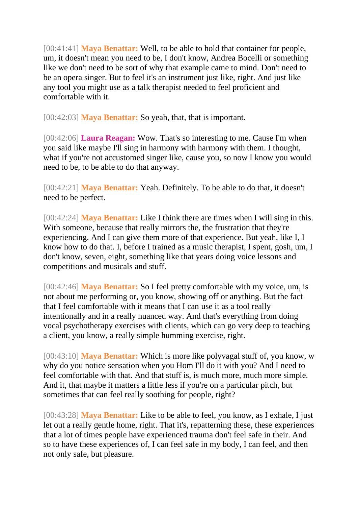[00:41:41] **Maya Benattar:** Well, to be able to hold that container for people, um, it doesn't mean you need to be, I don't know, Andrea Bocelli or something like we don't need to be sort of why that example came to mind. Don't need to be an opera singer. But to feel it's an instrument just like, right. And just like any tool you might use as a talk therapist needed to feel proficient and comfortable with it.

[00:42:03] **Maya Benattar:** So yeah, that, that is important.

[00:42:06] **Laura Reagan:** Wow. That's so interesting to me. Cause I'm when you said like maybe I'll sing in harmony with harmony with them. I thought, what if you're not accustomed singer like, cause you, so now I know you would need to be, to be able to do that anyway.

[00:42:21] **Maya Benattar:** Yeah. Definitely. To be able to do that, it doesn't need to be perfect.

[00:42:24] **Maya Benattar:** Like I think there are times when I will sing in this. With someone, because that really mirrors the, the frustration that they're experiencing. And I can give them more of that experience. But yeah, like I, I know how to do that. I, before I trained as a music therapist, I spent, gosh, um, I don't know, seven, eight, something like that years doing voice lessons and competitions and musicals and stuff.

[00:42:46] **Maya Benattar:** So I feel pretty comfortable with my voice, um, is not about me performing or, you know, showing off or anything. But the fact that I feel comfortable with it means that I can use it as a tool really intentionally and in a really nuanced way. And that's everything from doing vocal psychotherapy exercises with clients, which can go very deep to teaching a client, you know, a really simple humming exercise, right.

[00:43:10] **Maya Benattar:** Which is more like polyvagal stuff of, you know, w why do you notice sensation when you Hom I'll do it with you? And I need to feel comfortable with that. And that stuff is, is much more, much more simple. And it, that maybe it matters a little less if you're on a particular pitch, but sometimes that can feel really soothing for people, right?

[00:43:28] **Maya Benattar:** Like to be able to feel, you know, as I exhale, I just let out a really gentle home, right. That it's, repatterning these, these experiences that a lot of times people have experienced trauma don't feel safe in their. And so to have these experiences of, I can feel safe in my body, I can feel, and then not only safe, but pleasure.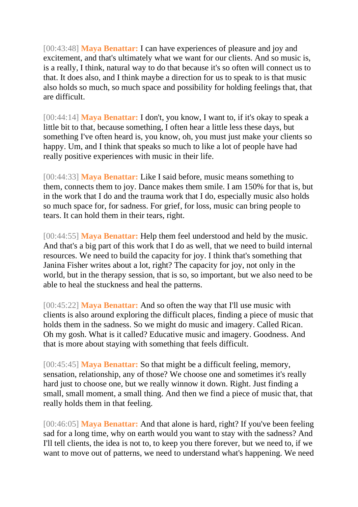[00:43:48] **Maya Benattar:** I can have experiences of pleasure and joy and excitement, and that's ultimately what we want for our clients. And so music is, is a really, I think, natural way to do that because it's so often will connect us to that. It does also, and I think maybe a direction for us to speak to is that music also holds so much, so much space and possibility for holding feelings that, that are difficult.

[00:44:14] **Maya Benattar:** I don't, you know, I want to, if it's okay to speak a little bit to that, because something, I often hear a little less these days, but something I've often heard is, you know, oh, you must just make your clients so happy. Um, and I think that speaks so much to like a lot of people have had really positive experiences with music in their life.

[00:44:33] **Maya Benattar:** Like I said before, music means something to them, connects them to joy. Dance makes them smile. I am 150% for that is, but in the work that I do and the trauma work that I do, especially music also holds so much space for, for sadness. For grief, for loss, music can bring people to tears. It can hold them in their tears, right.

[00:44:55] **Maya Benattar:** Help them feel understood and held by the music. And that's a big part of this work that I do as well, that we need to build internal resources. We need to build the capacity for joy. I think that's something that Janina Fisher writes about a lot, right? The capacity for joy, not only in the world, but in the therapy session, that is so, so important, but we also need to be able to heal the stuckness and heal the patterns.

[00:45:22] **Maya Benattar:** And so often the way that I'll use music with clients is also around exploring the difficult places, finding a piece of music that holds them in the sadness. So we might do music and imagery. Called Rican. Oh my gosh. What is it called? Educative music and imagery. Goodness. And that is more about staying with something that feels difficult.

[00:45:45] **Maya Benattar:** So that might be a difficult feeling, memory, sensation, relationship, any of those? We choose one and sometimes it's really hard just to choose one, but we really winnow it down. Right. Just finding a small, small moment, a small thing. And then we find a piece of music that, that really holds them in that feeling.

[00:46:05] **Maya Benattar:** And that alone is hard, right? If you've been feeling sad for a long time, why on earth would you want to stay with the sadness? And I'll tell clients, the idea is not to, to keep you there forever, but we need to, if we want to move out of patterns, we need to understand what's happening. We need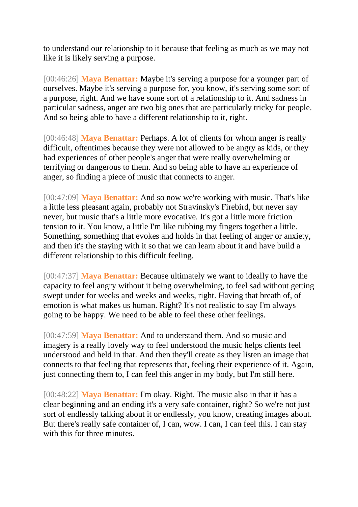to understand our relationship to it because that feeling as much as we may not like it is likely serving a purpose.

[00:46:26] **Maya Benattar:** Maybe it's serving a purpose for a younger part of ourselves. Maybe it's serving a purpose for, you know, it's serving some sort of a purpose, right. And we have some sort of a relationship to it. And sadness in particular sadness, anger are two big ones that are particularly tricky for people. And so being able to have a different relationship to it, right.

[00:46:48] **Maya Benattar:** Perhaps. A lot of clients for whom anger is really difficult, oftentimes because they were not allowed to be angry as kids, or they had experiences of other people's anger that were really overwhelming or terrifying or dangerous to them. And so being able to have an experience of anger, so finding a piece of music that connects to anger.

[00:47:09] **Maya Benattar:** And so now we're working with music. That's like a little less pleasant again, probably not Stravinsky's Firebird, but never say never, but music that's a little more evocative. It's got a little more friction tension to it. You know, a little I'm like rubbing my fingers together a little. Something, something that evokes and holds in that feeling of anger or anxiety, and then it's the staying with it so that we can learn about it and have build a different relationship to this difficult feeling.

[00:47:37] **Maya Benattar:** Because ultimately we want to ideally to have the capacity to feel angry without it being overwhelming, to feel sad without getting swept under for weeks and weeks and weeks, right. Having that breath of, of emotion is what makes us human. Right? It's not realistic to say I'm always going to be happy. We need to be able to feel these other feelings.

[00:47:59] **Maya Benattar:** And to understand them. And so music and imagery is a really lovely way to feel understood the music helps clients feel understood and held in that. And then they'll create as they listen an image that connects to that feeling that represents that, feeling their experience of it. Again, just connecting them to, I can feel this anger in my body, but I'm still here.

[00:48:22] **Maya Benattar:** I'm okay. Right. The music also in that it has a clear beginning and an ending it's a very safe container, right? So we're not just sort of endlessly talking about it or endlessly, you know, creating images about. But there's really safe container of, I can, wow. I can, I can feel this. I can stay with this for three minutes.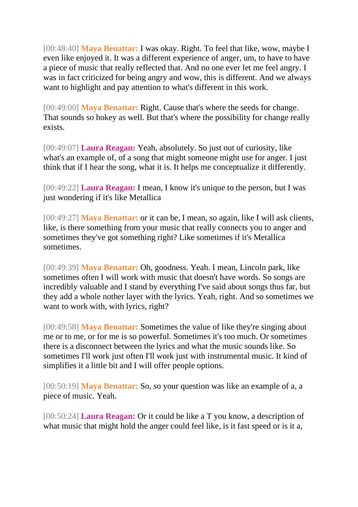[00:48:40] **Maya Benattar:** I was okay. Right. To feel that like, wow, maybe I even like enjoyed it. It was a different experience of anger, um, to have to have a piece of music that really reflected that. And no one ever let me feel angry. I was in fact criticized for being angry and wow, this is different. And we always want to highlight and pay attention to what's different in this work.

[00:49:00] **Maya Benattar:** Right. Cause that's where the seeds for change. That sounds so hokey as well. But that's where the possibility for change really exists.

[00:49:07] **Laura Reagan:** Yeah, absolutely. So just out of curiosity, like what's an example of, of a song that might someone might use for anger. I just think that if I hear the song, what it is. It helps me conceptualize it differently.

[00:49:22] **Laura Reagan:** I mean, I know it's unique to the person, but I was just wondering if it's like Metallica

[00:49:27] **Maya Benattar:** or it can be, I mean, so again, like I will ask clients, like, is there something from your music that really connects you to anger and sometimes they've got something right? Like sometimes if it's Metallica sometimes.

[00:49:39] **Maya Benattar:** Oh, goodness. Yeah. I mean, Lincoln park, like sometimes often I will work with music that doesn't have words. So songs are incredibly valuable and I stand by everything I've said about songs thus far, but they add a whole nother layer with the lyrics. Yeah, right. And so sometimes we want to work with, with lyrics, right?

[00:49:58] **Maya Benattar:** Sometimes the value of like they're singing about me or to me, or for me is so powerful. Sometimes it's too much. Or sometimes there is a disconnect between the lyrics and what the music sounds like. So sometimes I'll work just often I'll work just with instrumental music. It kind of simplifies it a little bit and I will offer people options.

[00:50:19] **Maya Benattar:** So, so your question was like an example of a, a piece of music. Yeah.

[00:50:24] **Laura Reagan:** Or it could be like a T you know, a description of what music that might hold the anger could feel like, is it fast speed or is it a,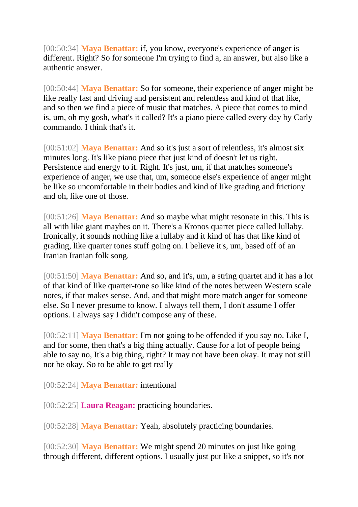[00:50:34] **Maya Benattar:** if, you know, everyone's experience of anger is different. Right? So for someone I'm trying to find a, an answer, but also like a authentic answer.

[00:50:44] **Maya Benattar:** So for someone, their experience of anger might be like really fast and driving and persistent and relentless and kind of that like, and so then we find a piece of music that matches. A piece that comes to mind is, um, oh my gosh, what's it called? It's a piano piece called every day by Carly commando. I think that's it.

[00:51:02] **Maya Benattar:** And so it's just a sort of relentless, it's almost six minutes long. It's like piano piece that just kind of doesn't let us right. Persistence and energy to it. Right. It's just, um, if that matches someone's experience of anger, we use that, um, someone else's experience of anger might be like so uncomfortable in their bodies and kind of like grading and frictiony and oh, like one of those.

[00:51:26] **Maya Benattar:** And so maybe what might resonate in this. This is all with like giant maybes on it. There's a Kronos quartet piece called lullaby. Ironically, it sounds nothing like a lullaby and it kind of has that like kind of grading, like quarter tones stuff going on. I believe it's, um, based off of an Iranian Iranian folk song.

[00:51:50] **Maya Benattar:** And so, and it's, um, a string quartet and it has a lot of that kind of like quarter-tone so like kind of the notes between Western scale notes, if that makes sense. And, and that might more match anger for someone else. So I never presume to know. I always tell them, I don't assume I offer options. I always say I didn't compose any of these.

[00:52:11] **Maya Benattar:** I'm not going to be offended if you say no. Like I, and for some, then that's a big thing actually. Cause for a lot of people being able to say no, It's a big thing, right? It may not have been okay. It may not still not be okay. So to be able to get really

[00:52:24] **Maya Benattar:** intentional

[00:52:25] **Laura Reagan:** practicing boundaries.

[00:52:28] **Maya Benattar:** Yeah, absolutely practicing boundaries.

[00:52:30] **Maya Benattar:** We might spend 20 minutes on just like going through different, different options. I usually just put like a snippet, so it's not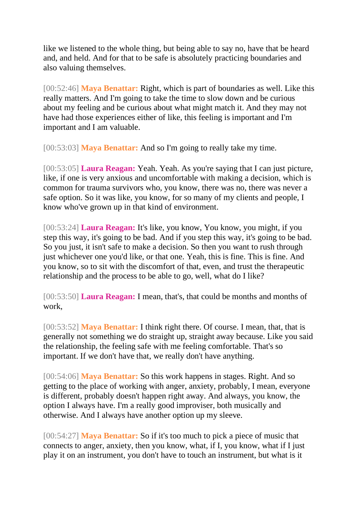like we listened to the whole thing, but being able to say no, have that be heard and, and held. And for that to be safe is absolutely practicing boundaries and also valuing themselves.

[00:52:46] **Maya Benattar:** Right, which is part of boundaries as well. Like this really matters. And I'm going to take the time to slow down and be curious about my feeling and be curious about what might match it. And they may not have had those experiences either of like, this feeling is important and I'm important and I am valuable.

[00:53:03] **Maya Benattar:** And so I'm going to really take my time.

[00:53:05] **Laura Reagan:** Yeah. Yeah. As you're saying that I can just picture, like, if one is very anxious and uncomfortable with making a decision, which is common for trauma survivors who, you know, there was no, there was never a safe option. So it was like, you know, for so many of my clients and people, I know who've grown up in that kind of environment.

[00:53:24] **Laura Reagan:** It's like, you know, You know, you might, if you step this way, it's going to be bad. And if you step this way, it's going to be bad. So you just, it isn't safe to make a decision. So then you want to rush through just whichever one you'd like, or that one. Yeah, this is fine. This is fine. And you know, so to sit with the discomfort of that, even, and trust the therapeutic relationship and the process to be able to go, well, what do I like?

[00:53:50] **Laura Reagan:** I mean, that's, that could be months and months of work,

[00:53:52] **Maya Benattar:** I think right there. Of course. I mean, that, that is generally not something we do straight up, straight away because. Like you said the relationship, the feeling safe with me feeling comfortable. That's so important. If we don't have that, we really don't have anything.

[00:54:06] **Maya Benattar:** So this work happens in stages. Right. And so getting to the place of working with anger, anxiety, probably, I mean, everyone is different, probably doesn't happen right away. And always, you know, the option I always have. I'm a really good improviser, both musically and otherwise. And I always have another option up my sleeve.

[00:54:27] **Maya Benattar:** So if it's too much to pick a piece of music that connects to anger, anxiety, then you know, what, if I, you know, what if I just play it on an instrument, you don't have to touch an instrument, but what is it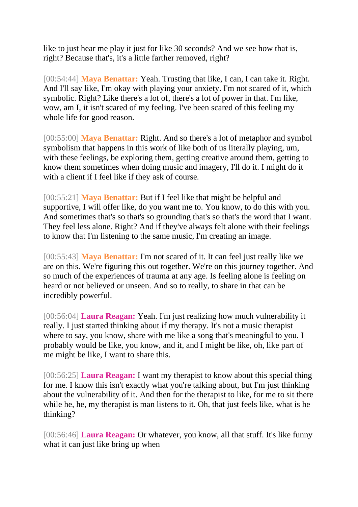like to just hear me play it just for like 30 seconds? And we see how that is, right? Because that's, it's a little farther removed, right?

[00:54:44] **Maya Benattar:** Yeah. Trusting that like, I can, I can take it. Right. And I'll say like, I'm okay with playing your anxiety. I'm not scared of it, which symbolic. Right? Like there's a lot of, there's a lot of power in that. I'm like, wow, am I, it isn't scared of my feeling. I've been scared of this feeling my whole life for good reason.

[00:55:00] **Maya Benattar:** Right. And so there's a lot of metaphor and symbol symbolism that happens in this work of like both of us literally playing, um, with these feelings, be exploring them, getting creative around them, getting to know them sometimes when doing music and imagery, I'll do it. I might do it with a client if I feel like if they ask of course.

[00:55:21] **Maya Benattar:** But if I feel like that might be helpful and supportive, I will offer like, do you want me to. You know, to do this with you. And sometimes that's so that's so grounding that's so that's the word that I want. They feel less alone. Right? And if they've always felt alone with their feelings to know that I'm listening to the same music, I'm creating an image.

[00:55:43] **Maya Benattar:** I'm not scared of it. It can feel just really like we are on this. We're figuring this out together. We're on this journey together. And so much of the experiences of trauma at any age. Is feeling alone is feeling on heard or not believed or unseen. And so to really, to share in that can be incredibly powerful.

[00:56:04] **Laura Reagan:** Yeah. I'm just realizing how much vulnerability it really. I just started thinking about if my therapy. It's not a music therapist where to say, you know, share with me like a song that's meaningful to you. I probably would be like, you know, and it, and I might be like, oh, like part of me might be like, I want to share this.

[00:56:25] **Laura Reagan:** I want my therapist to know about this special thing for me. I know this isn't exactly what you're talking about, but I'm just thinking about the vulnerability of it. And then for the therapist to like, for me to sit there while he, he, my therapist is man listens to it. Oh, that just feels like, what is he thinking?

[00:56:46] **Laura Reagan:** Or whatever, you know, all that stuff. It's like funny what it can just like bring up when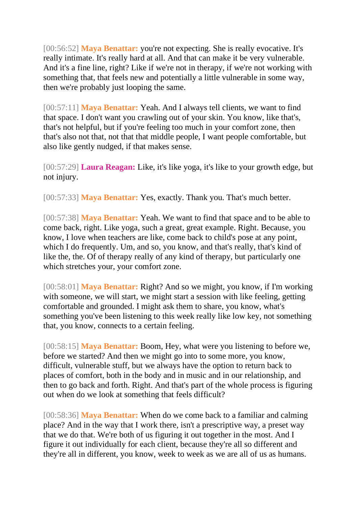[00:56:52] **Maya Benattar:** you're not expecting. She is really evocative. It's really intimate. It's really hard at all. And that can make it be very vulnerable. And it's a fine line, right? Like if we're not in therapy, if we're not working with something that, that feels new and potentially a little vulnerable in some way, then we're probably just looping the same.

[00:57:11] **Maya Benattar:** Yeah. And I always tell clients, we want to find that space. I don't want you crawling out of your skin. You know, like that's, that's not helpful, but if you're feeling too much in your comfort zone, then that's also not that, not that that middle people, I want people comfortable, but also like gently nudged, if that makes sense.

[00:57:29] **Laura Reagan:** Like, it's like yoga, it's like to your growth edge, but not injury.

[00:57:33] **Maya Benattar:** Yes, exactly. Thank you. That's much better.

[00:57:38] **Maya Benattar:** Yeah. We want to find that space and to be able to come back, right. Like yoga, such a great, great example. Right. Because, you know, I love when teachers are like, come back to child's pose at any point, which I do frequently. Um, and so, you know, and that's really, that's kind of like the, the. Of of therapy really of any kind of therapy, but particularly one which stretches your, your comfort zone.

[00:58:01] **Maya Benattar:** Right? And so we might, you know, if I'm working with someone, we will start, we might start a session with like feeling, getting comfortable and grounded. I might ask them to share, you know, what's something you've been listening to this week really like low key, not something that, you know, connects to a certain feeling.

[00:58:15] **Maya Benattar:** Boom, Hey, what were you listening to before we, before we started? And then we might go into to some more, you know, difficult, vulnerable stuff, but we always have the option to return back to places of comfort, both in the body and in music and in our relationship, and then to go back and forth. Right. And that's part of the whole process is figuring out when do we look at something that feels difficult?

[00:58:36] **Maya Benattar:** When do we come back to a familiar and calming place? And in the way that I work there, isn't a prescriptive way, a preset way that we do that. We're both of us figuring it out together in the most. And I figure it out individually for each client, because they're all so different and they're all in different, you know, week to week as we are all of us as humans.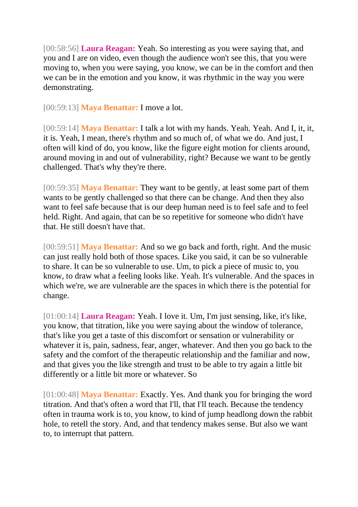[00:58:56] **Laura Reagan:** Yeah. So interesting as you were saying that, and you and I are on video, even though the audience won't see this, that you were moving to, when you were saying, you know, we can be in the comfort and then we can be in the emotion and you know, it was rhythmic in the way you were demonstrating.

[00:59:13] **Maya Benattar:** I move a lot.

[00:59:14] **Maya Benattar:** I talk a lot with my hands. Yeah. Yeah. And I, it, it, it is. Yeah, I mean, there's rhythm and so much of, of what we do. And just, I often will kind of do, you know, like the figure eight motion for clients around, around moving in and out of vulnerability, right? Because we want to be gently challenged. That's why they're there.

[00:59:35] **Maya Benattar:** They want to be gently, at least some part of them wants to be gently challenged so that there can be change. And then they also want to feel safe because that is our deep human need is to feel safe and to feel held. Right. And again, that can be so repetitive for someone who didn't have that. He still doesn't have that.

[00:59:51] **Maya Benattar:** And so we go back and forth, right. And the music can just really hold both of those spaces. Like you said, it can be so vulnerable to share. It can be so vulnerable to use. Um, to pick a piece of music to, you know, to draw what a feeling looks like. Yeah. It's vulnerable. And the spaces in which we're, we are vulnerable are the spaces in which there is the potential for change.

[01:00:14] **Laura Reagan:** Yeah. I love it. Um, I'm just sensing, like, it's like, you know, that titration, like you were saying about the window of tolerance, that's like you get a taste of this discomfort or sensation or vulnerability or whatever it is, pain, sadness, fear, anger, whatever. And then you go back to the safety and the comfort of the therapeutic relationship and the familiar and now, and that gives you the like strength and trust to be able to try again a little bit differently or a little bit more or whatever. So

[01:00:48] **Maya Benattar:** Exactly. Yes. And thank you for bringing the word titration. And that's often a word that I'll, that I'll teach. Because the tendency often in trauma work is to, you know, to kind of jump headlong down the rabbit hole, to retell the story. And, and that tendency makes sense. But also we want to, to interrupt that pattern.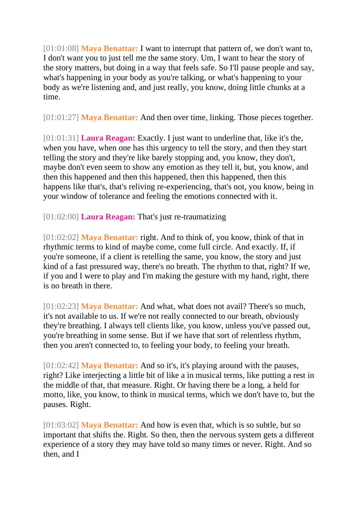[01:01:08] **Maya Benattar:** I want to interrupt that pattern of, we don't want to, I don't want you to just tell me the same story. Um, I want to hear the story of the story matters, but doing in a way that feels safe. So I'll pause people and say, what's happening in your body as you're talking, or what's happening to your body as we're listening and, and just really, you know, doing little chunks at a time.

[01:01:27] **Maya Benattar:** And then over time, linking. Those pieces together.

[01:01:31] **Laura Reagan:** Exactly. I just want to underline that, like it's the, when you have, when one has this urgency to tell the story, and then they start telling the story and they're like barely stopping and, you know, they don't, maybe don't even seem to show any emotion as they tell it, but, you know, and then this happened and then this happened, then this happened, then this happens like that's, that's reliving re-experiencing, that's not, you know, being in your window of tolerance and feeling the emotions connected with it.

[01:02:00] **Laura Reagan:** That's just re-traumatizing

[01:02:02] **Maya Benattar:** right. And to think of, you know, think of that in rhythmic terms to kind of maybe come, come full circle. And exactly. If, if you're someone, if a client is retelling the same, you know, the story and just kind of a fast pressured way, there's no breath. The rhythm to that, right? If we, if you and I were to play and I'm making the gesture with my hand, right, there is no breath in there.

[01:02:23] **Maya Benattar:** And what, what does not avail? There's so much, it's not available to us. If we're not really connected to our breath, obviously they're breathing. I always tell clients like, you know, unless you've passed out, you're breathing in some sense. But if we have that sort of relentless rhythm, then you aren't connected to, to feeling your body, to feeling your breath.

[01:02:42] **Maya Benattar:** And so it's, it's playing around with the pauses, right? Like interjecting a little bit of like a in musical terms, like putting a rest in the middle of that, that measure. Right. Or having there be a long, a held for motto, like, you know, to think in musical terms, which we don't have to, but the pauses. Right.

[01:03:02] **Maya Benattar:** And how is even that, which is so subtle, but so important that shifts the. Right. So then, then the nervous system gets a different experience of a story they may have told so many times or never. Right. And so then, and I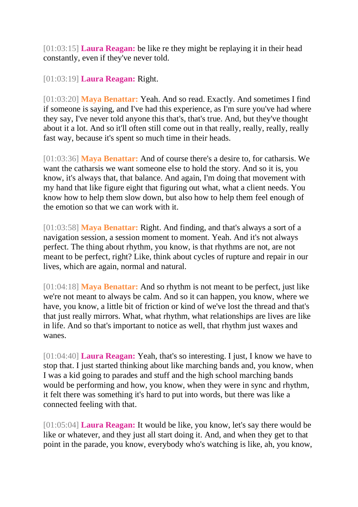[01:03:15] **Laura Reagan:** be like re they might be replaying it in their head constantly, even if they've never told.

[01:03:19] **Laura Reagan:** Right.

[01:03:20] **Maya Benattar:** Yeah. And so read. Exactly. And sometimes I find if someone is saying, and I've had this experience, as I'm sure you've had where they say, I've never told anyone this that's, that's true. And, but they've thought about it a lot. And so it'll often still come out in that really, really, really, really fast way, because it's spent so much time in their heads.

[01:03:36] **Maya Benattar:** And of course there's a desire to, for catharsis. We want the catharsis we want someone else to hold the story. And so it is, you know, it's always that, that balance. And again, I'm doing that movement with my hand that like figure eight that figuring out what, what a client needs. You know how to help them slow down, but also how to help them feel enough of the emotion so that we can work with it.

[01:03:58] **Maya Benattar:** Right. And finding, and that's always a sort of a navigation session, a session moment to moment. Yeah. And it's not always perfect. The thing about rhythm, you know, is that rhythms are not, are not meant to be perfect, right? Like, think about cycles of rupture and repair in our lives, which are again, normal and natural.

[01:04:18] **Maya Benattar:** And so rhythm is not meant to be perfect, just like we're not meant to always be calm. And so it can happen, you know, where we have, you know, a little bit of friction or kind of we've lost the thread and that's that just really mirrors. What, what rhythm, what relationships are lives are like in life. And so that's important to notice as well, that rhythm just waxes and wanes.

[01:04:40] **Laura Reagan:** Yeah, that's so interesting. I just, I know we have to stop that. I just started thinking about like marching bands and, you know, when I was a kid going to parades and stuff and the high school marching bands would be performing and how, you know, when they were in sync and rhythm, it felt there was something it's hard to put into words, but there was like a connected feeling with that.

[01:05:04] **Laura Reagan:** It would be like, you know, let's say there would be like or whatever, and they just all start doing it. And, and when they get to that point in the parade, you know, everybody who's watching is like, ah, you know,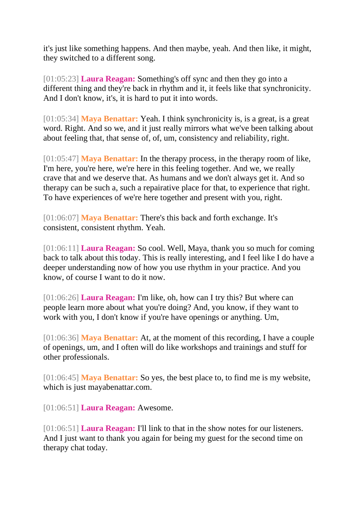it's just like something happens. And then maybe, yeah. And then like, it might, they switched to a different song.

[01:05:23] **Laura Reagan:** Something's off sync and then they go into a different thing and they're back in rhythm and it, it feels like that synchronicity. And I don't know, it's, it is hard to put it into words.

[01:05:34] **Maya Benattar:** Yeah. I think synchronicity is, is a great, is a great word. Right. And so we, and it just really mirrors what we've been talking about about feeling that, that sense of, of, um, consistency and reliability, right.

[01:05:47] **Maya Benattar:** In the therapy process, in the therapy room of like, I'm here, you're here, we're here in this feeling together. And we, we really crave that and we deserve that. As humans and we don't always get it. And so therapy can be such a, such a repairative place for that, to experience that right. To have experiences of we're here together and present with you, right.

[01:06:07] **Maya Benattar:** There's this back and forth exchange. It's consistent, consistent rhythm. Yeah.

[01:06:11] **Laura Reagan:** So cool. Well, Maya, thank you so much for coming back to talk about this today. This is really interesting, and I feel like I do have a deeper understanding now of how you use rhythm in your practice. And you know, of course I want to do it now.

[01:06:26] **Laura Reagan:** I'm like, oh, how can I try this? But where can people learn more about what you're doing? And, you know, if they want to work with you, I don't know if you're have openings or anything. Um,

[01:06:36] **Maya Benattar:** At, at the moment of this recording, I have a couple of openings, um, and I often will do like workshops and trainings and stuff for other professionals.

[01:06:45] **Maya Benattar:** So yes, the best place to, to find me is my website, which is just mayabenattar.com.

[01:06:51] **Laura Reagan:** Awesome.

[01:06:51] **Laura Reagan:** I'll link to that in the show notes for our listeners. And I just want to thank you again for being my guest for the second time on therapy chat today.